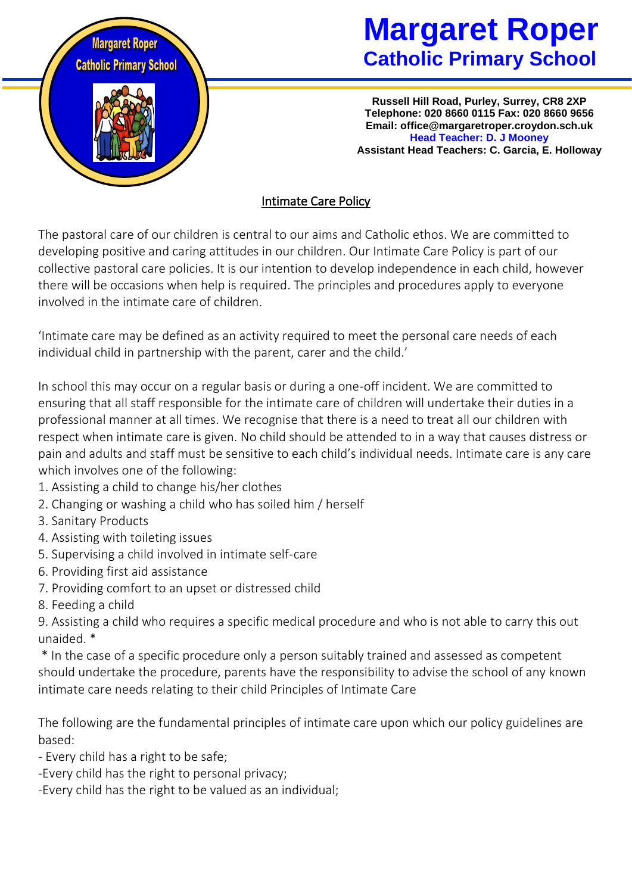

# **Margaret Roper Catholic Primary School**

**Russell Hill Road, Purley, Surrey, CR8 2XP Telephone: 020 8660 0115 Fax: 020 8660 9656 Email: office@margaretroper.croydon.sch.uk Head Teacher: D. J Mooney Assistant Head Teachers: C. Garcia, E. Holloway**

## Intimate Care Policy

The pastoral care of our children is central to our aims and Catholic ethos. We are committed to developing positive and caring attitudes in our children. Our Intimate Care Policy is part of our collective pastoral care policies. It is our intention to develop independence in each child, however there will be occasions when help is required. The principles and procedures apply to everyone involved in the intimate care of children.

'Intimate care may be defined as an activity required to meet the personal care needs of each individual child in partnership with the parent, carer and the child.'

In school this may occur on a regular basis or during a one-off incident. We are committed to ensuring that all staff responsible for the intimate care of children will undertake their duties in a professional manner at all times. We recognise that there is a need to treat all our children with respect when intimate care is given. No child should be attended to in a way that causes distress or pain and adults and staff must be sensitive to each child's individual needs. Intimate care is any care which involves one of the following:

- 1. Assisting a child to change his/her clothes
- 2. Changing or washing a child who has soiled him / herself
- 3. Sanitary Products
- 4. Assisting with toileting issues
- 5. Supervising a child involved in intimate self-care
- 6. Providing first aid assistance
- 7. Providing comfort to an upset or distressed child
- 8. Feeding a child

9. Assisting a child who requires a specific medical procedure and who is not able to carry this out unaided. \*

\* In the case of a specific procedure only a person suitably trained and assessed as competent should undertake the procedure, parents have the responsibility to advise the school of any known intimate care needs relating to their child Principles of Intimate Care

The following are the fundamental principles of intimate care upon which our policy guidelines are based:

- Every child has a right to be safe;
- -Every child has the right to personal privacy;
- -Every child has the right to be valued as an individual;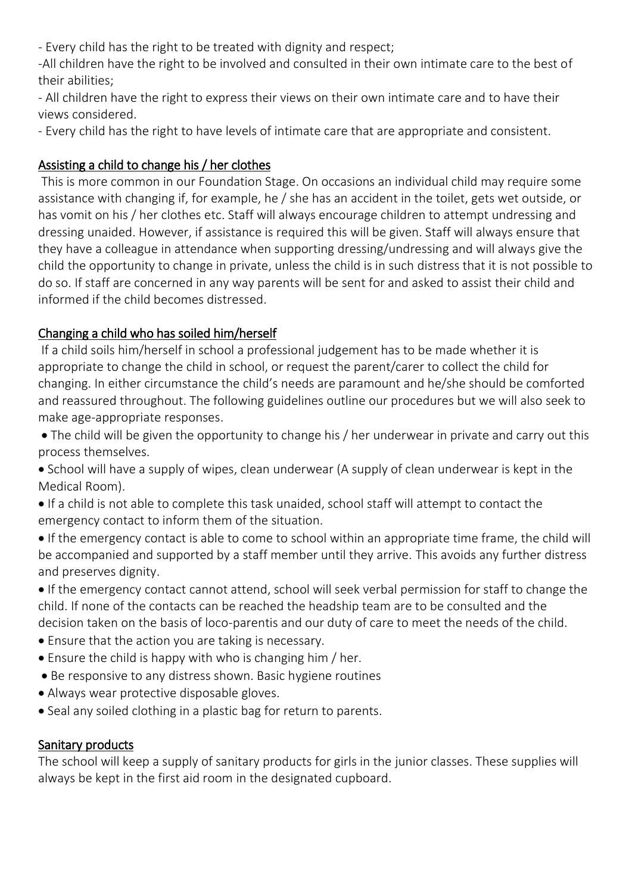- Every child has the right to be treated with dignity and respect;

-All children have the right to be involved and consulted in their own intimate care to the best of their abilities;

- All children have the right to express their views on their own intimate care and to have their views considered.

- Every child has the right to have levels of intimate care that are appropriate and consistent.

# Assisting a child to change his / her clothes

This is more common in our Foundation Stage. On occasions an individual child may require some assistance with changing if, for example, he / she has an accident in the toilet, gets wet outside, or has vomit on his / her clothes etc. Staff will always encourage children to attempt undressing and dressing unaided. However, if assistance is required this will be given. Staff will always ensure that they have a colleague in attendance when supporting dressing/undressing and will always give the child the opportunity to change in private, unless the child is in such distress that it is not possible to do so. If staff are concerned in any way parents will be sent for and asked to assist their child and informed if the child becomes distressed.

# Changing a child who has soiled him/herself

If a child soils him/herself in school a professional judgement has to be made whether it is appropriate to change the child in school, or request the parent/carer to collect the child for changing. In either circumstance the child's needs are paramount and he/she should be comforted and reassured throughout. The following guidelines outline our procedures but we will also seek to make age-appropriate responses.

- The child will be given the opportunity to change his / her underwear in private and carry out this process themselves.
- School will have a supply of wipes, clean underwear (A supply of clean underwear is kept in the Medical Room).
- If a child is not able to complete this task unaided, school staff will attempt to contact the emergency contact to inform them of the situation.
- If the emergency contact is able to come to school within an appropriate time frame, the child will be accompanied and supported by a staff member until they arrive. This avoids any further distress and preserves dignity.
- If the emergency contact cannot attend, school will seek verbal permission for staff to change the child. If none of the contacts can be reached the headship team are to be consulted and the decision taken on the basis of loco-parentis and our duty of care to meet the needs of the child.
- Ensure that the action you are taking is necessary.
- Ensure the child is happy with who is changing him / her.
- Be responsive to any distress shown. Basic hygiene routines
- Always wear protective disposable gloves.
- Seal any soiled clothing in a plastic bag for return to parents.

## Sanitary products

The school will keep a supply of sanitary products for girls in the junior classes. These supplies will always be kept in the first aid room in the designated cupboard.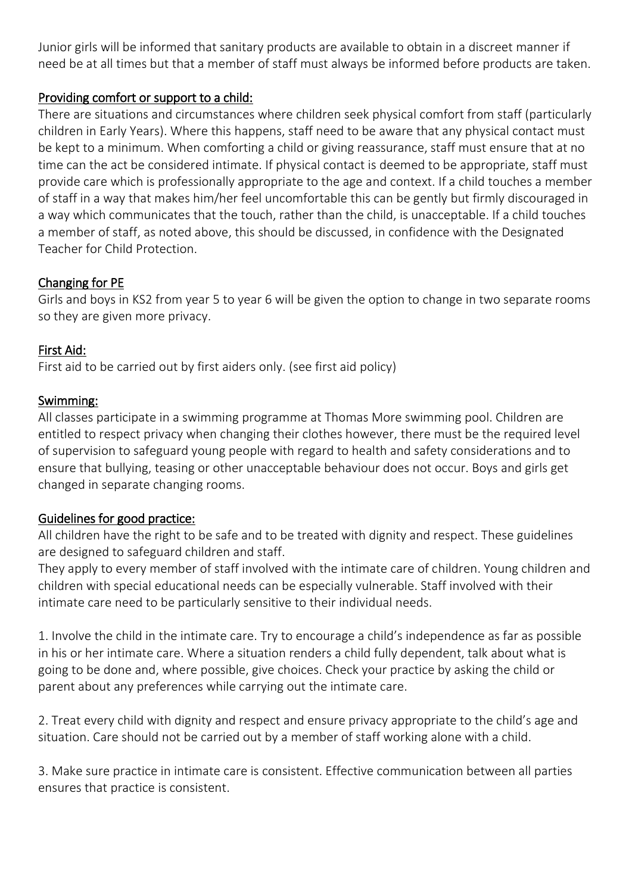Junior girls will be informed that sanitary products are available to obtain in a discreet manner if need be at all times but that a member of staff must always be informed before products are taken.

#### Providing comfort or support to a child:

There are situations and circumstances where children seek physical comfort from staff (particularly children in Early Years). Where this happens, staff need to be aware that any physical contact must be kept to a minimum. When comforting a child or giving reassurance, staff must ensure that at no time can the act be considered intimate. If physical contact is deemed to be appropriate, staff must provide care which is professionally appropriate to the age and context. If a child touches a member of staff in a way that makes him/her feel uncomfortable this can be gently but firmly discouraged in a way which communicates that the touch, rather than the child, is unacceptable. If a child touches a member of staff, as noted above, this should be discussed, in confidence with the Designated Teacher for Child Protection.

#### Changing for PE

Girls and boys in KS2 from year 5 to year 6 will be given the option to change in two separate rooms so they are given more privacy.

#### First Aid:

First aid to be carried out by first aiders only. (see first aid policy)

#### Swimming:

All classes participate in a swimming programme at Thomas More swimming pool. Children are entitled to respect privacy when changing their clothes however, there must be the required level of supervision to safeguard young people with regard to health and safety considerations and to ensure that bullying, teasing or other unacceptable behaviour does not occur. Boys and girls get changed in separate changing rooms.

### Guidelines for good practice:

All children have the right to be safe and to be treated with dignity and respect. These guidelines are designed to safeguard children and staff.

They apply to every member of staff involved with the intimate care of children. Young children and children with special educational needs can be especially vulnerable. Staff involved with their intimate care need to be particularly sensitive to their individual needs.

1. Involve the child in the intimate care. Try to encourage a child's independence as far as possible in his or her intimate care. Where a situation renders a child fully dependent, talk about what is going to be done and, where possible, give choices. Check your practice by asking the child or parent about any preferences while carrying out the intimate care.

2. Treat every child with dignity and respect and ensure privacy appropriate to the child's age and situation. Care should not be carried out by a member of staff working alone with a child.

3. Make sure practice in intimate care is consistent. Effective communication between all parties ensures that practice is consistent.